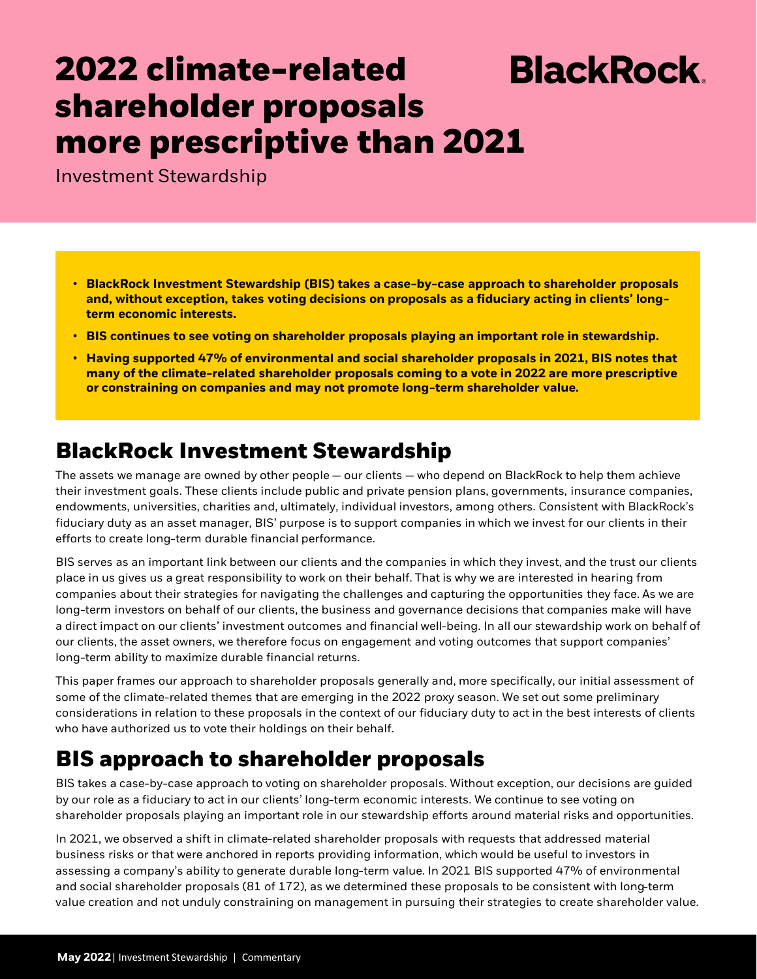# **2022 climate-related BlackRock shareholder proposals more prescriptive than 2021**

Investment Stewardship

- **BlackRock Investment Stewardship (BIS) takes a case-by-case approach to shareholder proposals and, without exception, takes voting decisions on proposals as a fiduciary acting in clients' longterm economic interests.**
- **BIS continues to see voting on shareholder proposals playing an important role in stewardship.**
- **Having supported 47% of environmental and social shareholder proposals in 2021, BIS notes that many of the climate-related shareholder proposals coming to a vote in 2022 are more prescriptive or constraining on companies and may not promote long-term shareholder value.**

### **BlackRock Investment Stewardship**

The assets we manage are owned by other people — our clients — who depend on BlackRock to help them achieve their investment goals. These clients include public and private pension plans, governments, insurance companies, endowments, universities, charities and, ultimately, individual investors, among others. Consistent with BlackRock's fiduciary duty as an asset manager, BIS' purpose is to support companies in which we invest for our clients in their efforts to create long-term durable financial performance.

BIS serves as an important link between our clients and the companies in which they invest, and the trust our clients place in us gives us a great responsibility to work on their behalf. That is why we are interested in hearing from companies about their strategies for navigating the challenges and capturing the opportunities they face. As we are long-term investors on behalf of our clients, the business and governance decisions that companies make will have a direct impact on our clients' investment outcomes and financial well-being. In all our stewardship work on behalf of our clients, the asset owners, we therefore focus on engagement and voting outcomes that support companies' long-term ability to maximize durable financial returns.

This paper frames our approach to shareholder proposals generally and, more specifically, our initial assessment of some of the climate-related themes that are emerging in the 2022 proxy season. We set out some preliminary considerations in relation to these proposals in the context of our fiduciary duty to act in the best interests of clients who have authorized us to vote their holdings on their behalf.

## **BIS approach to shareholder proposals**

BIS takes a case-by-case approach to voting on shareholder proposals. Without exception, our decisions are guided by our role as a fiduciary to act in our clients' long-term economic interests. We continue to see voting on shareholder proposals playing an important role in our stewardship efforts around material risks and opportunities.

In 2021, we observed a shift in climate-related shareholder proposals with requests that addressed material business risks or that were anchored in reports providing information, which would be useful to investors in assessing a company's ability to generate durable long-term value. In 2021 BIS supported 47% of environmental and social shareholder proposals (81 of 172), as we determined these proposals to be consistent with long-term value creation and not unduly constraining on management in pursuing their strategies to create shareholder value.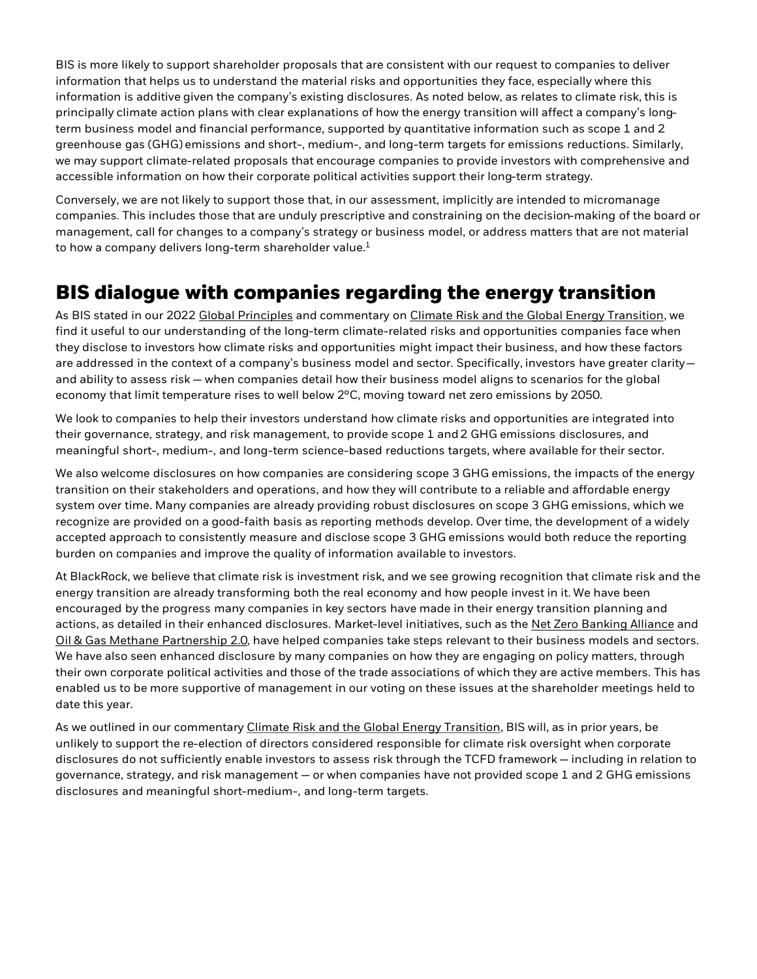BIS is more likely to support shareholder proposals that are consistent with our request to companies to deliver information that helps us to understand the material risks and opportunities they face, especially where this information is additive given the company's existing disclosures. As noted below, as relates to climate risk, this is principally climate action plans with clear explanations of how the energy transition will affect a company's longterm business model and financial performance, supported by quantitative information such as scope 1 and 2 greenhouse gas (GHG) emissions and short-, medium-, and long-term targets for emissions reductions. Similarly, we may support climate-related proposals that encourage companies to provide investors with comprehensive and accessible information on how their corporate political activities support their long-term strategy.

Conversely, we are not likely to support those that, in our assessment, implicitly are intended to micromanage companies. This includes those that are unduly prescriptive and constraining on the decision-making of the board or management, call for changes to a company's strategy or business model, or address matters that are not material to how a company delivers long-term shareholder value. $1$ 

#### **BIS dialogue with companies regarding the energy transition**

As BIS stated in our 2022 [Global Principles](https://www.blackrock.com/corporate/literature/fact-sheet/blk-responsible-investment-engprinciples-global.pdf) and commentary on [Climate Risk and the Global Energy Transition](https://www.blackrock.com/corporate/literature/publication/blk-commentary-climate-risk-and-energy-transition.pdf), we find it useful to our understanding of the long-term climate-related risks and opportunities companies face when they disclose to investors how climate risks and opportunities might impact their business, and how these factors are addressed in the context of a company's business model and sector. Specifically, investors have greater clarityand ability to assess risk — when companies detail how their business model aligns to scenarios for the global economy that limit temperature rises to well below 2°C, moving toward net zero emissions by 2050.

We look to companies to help their investors understand how climate risks and opportunities are integrated into their governance, strategy, and risk management, to provide scope 1 and 2 GHG emissions disclosures, and meaningful short-, medium-, and long-term science-based reductions targets, where available for their sector.

We also welcome disclosures on how companies are considering scope 3 GHG emissions, the impacts of the energy transition on their stakeholders and operations, and how they will contribute to a reliable and affordable energy system over time. Many companies are already providing robust disclosures on scope 3 GHG emissions, which we recognize are provided on a good-faith basis as reporting methods develop. Over time, the development of a widely accepted approach to consistently measure and disclose scope 3 GHG emissions would both reduce the reporting burden on companies and improve the quality of information available to investors.

At BlackRock, we believe that climate risk is investment risk, and we see growing recognition that climate risk and the energy transition are already transforming both the real economy and how people invest in it. We have been encouraged by the progress many companies in key sectors have made in their energy transition planning and actions, as detailed in their enhanced disclosures. Market-level initiatives, such as the [Net Zero Banking Alliance](https://www.unepfi.org/net-zero-banking/) and [Oil & Gas Methane Partnership 2.0](https://www.ogmpartnership.com/), have helped companies take steps relevant to their business models and sectors. We have also seen enhanced disclosure by many companies on how they are engaging on policy matters, through their own corporate political activities and those of the trade associations of which they are active members. This has enabled us to be more supportive of management in our voting on these issues at the shareholder meetings held to date this year.

As we outlined in our commentary [Climate Risk and the Global Energy Transition,](https://www.blackrock.com/corporate/literature/publication/blk-commentary-climate-risk-and-energy-transition.pdf) BIS will, as in prior years, be unlikely to support the re-election of directors considered responsible for climate risk oversight when corporate disclosures do not sufficiently enable investors to assess risk through the TCFD framework — including in relation to governance, strategy, and risk management — or when companies have not provided scope 1 and 2 GHG emissions disclosures and meaningful short-medium-, and long-term targets.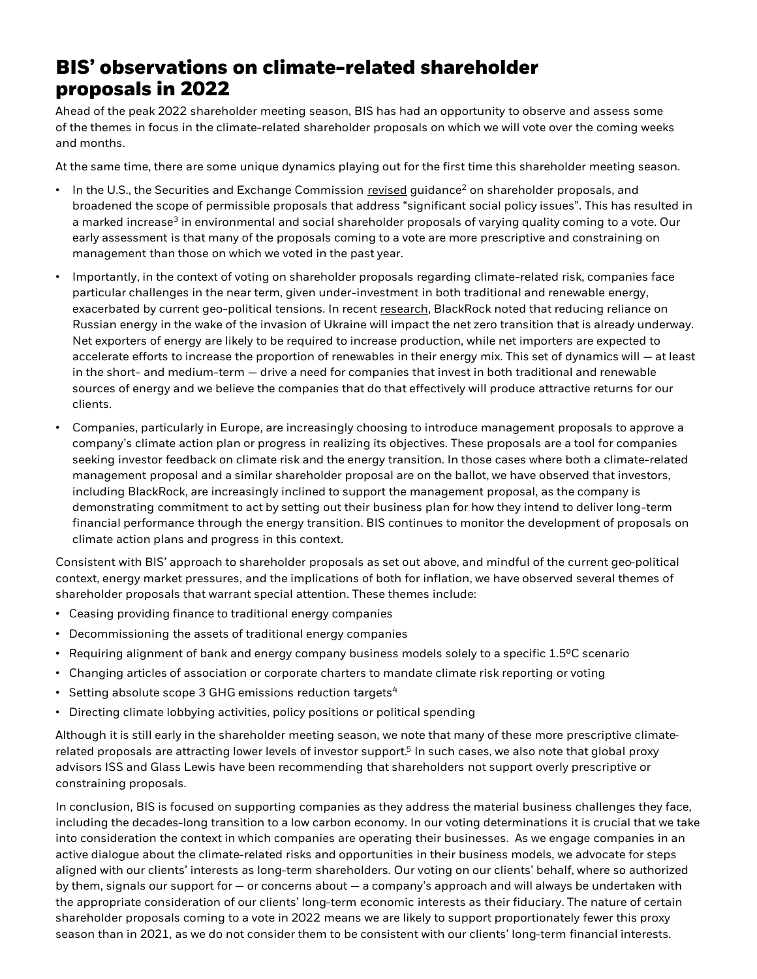#### **BIS' observations on climate-related shareholder proposals in 2022**

Ahead of the peak 2022 shareholder meeting season, BIS has had an opportunity to observe and assess some of the themes in focus in the climate-related shareholder proposals on which we will vote over the coming weeks and months.

At the same time, there are some unique dynamics playing out for the first time this shareholder meeting season.

- $\cdot$  In the U.S., the Securities and Exchange Commission [revised](https://www.sec.gov/corpfin/staff-legal-bulletin-14l-shareholder-proposals) guidance<sup>2</sup> on shareholder proposals, and broadened the scope of permissible proposals that address "significant social policy issues". This has resulted in a marked increase<sup>3</sup> in environmental and social shareholder proposals of varying quality coming to a vote. Our early assessment is that many of the proposals coming to a vote are more prescriptive and constraining on management than those on which we voted in the past year.
- Importantly, in the context of voting on shareholder proposals regarding climate-related risk, companies face particular challenges in the near term, given under-investment in both traditional and renewable energy, exacerbated by current geo-political tensions. In recent [research](https://www.blackrock.com/corporate/literature/whitepaper/bii-macro-pespectives-march-2022.pdf), BlackRock noted that reducing reliance on Russian energy in the wake of the invasion of Ukraine will impact the net zero transition that is already underway. Net exporters of energy are likely to be required to increase production, while net importers are expected to accelerate efforts to increase the proportion of renewables in their energy mix. This set of dynamics will — at least in the short- and medium-term — drive a need for companies that invest in both traditional and renewable sources of energy and we believe the companies that do that effectively will produce attractive returns for our clients.
- Companies, particularly in Europe, are increasingly choosing to introduce management proposals to approve a company's climate action plan or progress in realizing its objectives. These proposals are a tool for companies seeking investor feedback on climate risk and the energy transition. In those cases where both a climate-related management proposal and a similar shareholder proposal are on the ballot, we have observed that investors, including BlackRock, are increasingly inclined to support the management proposal, as the company is demonstrating commitment to act by setting out their business plan for how they intend to deliver long-term financial performance through the energy transition. BIS continues to monitor the development of proposals on climate action plans and progress in this context.

Consistent with BIS' approach to shareholder proposals as set out above, and mindful of the current geo-political context, energy market pressures, and the implications of both for inflation, we have observed several themes of shareholder proposals that warrant special attention. These themes include:

- Ceasing providing finance to traditional energy companies
- Decommissioning the assets of traditional energy companies
- Requiring alignment of bank and energy company business models solely to a specific 1.5°C scenario
- Changing articles of association or corporate charters to mandate climate risk reporting or voting
- Setting absolute scope 3 GHG emissions reduction targets $4$
- Directing climate lobbying activities, policy positions or political spending

Although it is still early in the shareholder meeting season, we note that many of these more prescriptive climaterelated proposals are attracting lower levels of investor support.<sup>5</sup> In such cases, we also note that global proxy advisors ISS and Glass Lewis have been recommending that shareholders not support overly prescriptive or constraining proposals.

In conclusion, BIS is focused on supporting companies as they address the material business challenges they face, including the decades-long transition to a low carbon economy. In our voting determinations it is crucial that we take into consideration the context in which companies are operating their businesses. As we engage companies in an active dialogue about the climate-related risks and opportunities in their business models, we advocate for steps aligned with our clients' interests as long-term shareholders. Our voting on our clients' behalf, where so authorized by them, signals our support for — or concerns about — a company's approach and will always be undertaken with the appropriate consideration of our clients' long-term economic interests as their fiduciary. The nature of certain shareholder proposals coming to a vote in 2022 means we are likely to support proportionately fewer this proxy season than in 2021, as we do not consider them to be consistent with our clients' long-term financial interests.